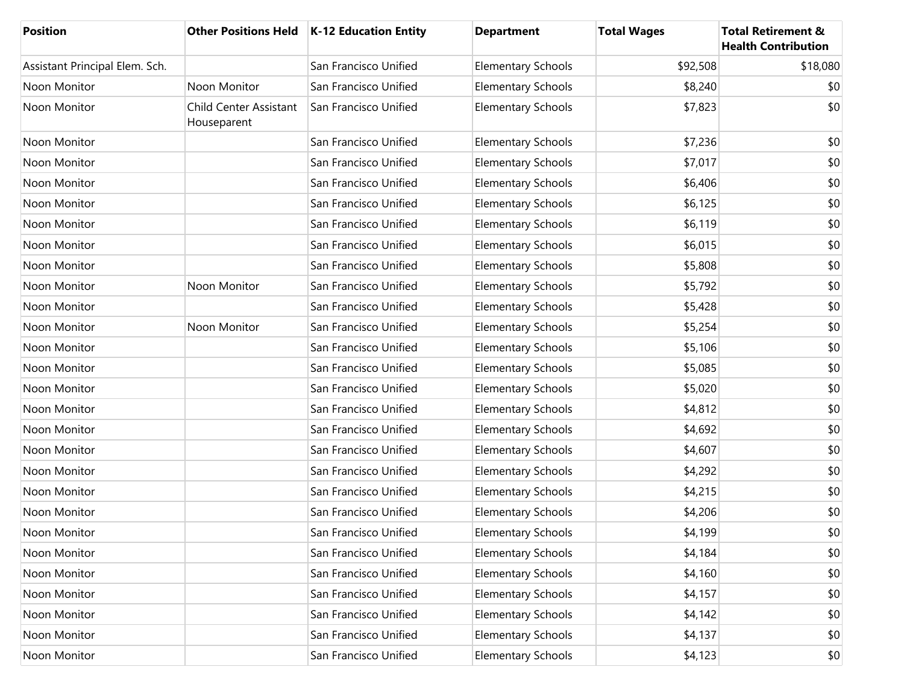| <b>Position</b>                | <b>Other Positions Held</b>           | K-12 Education Entity | <b>Department</b>         | <b>Total Wages</b> | <b>Total Retirement &amp;</b><br><b>Health Contribution</b> |
|--------------------------------|---------------------------------------|-----------------------|---------------------------|--------------------|-------------------------------------------------------------|
| Assistant Principal Elem. Sch. |                                       | San Francisco Unified | <b>Elementary Schools</b> | \$92,508           | \$18,080                                                    |
| Noon Monitor                   | Noon Monitor                          | San Francisco Unified | <b>Elementary Schools</b> | \$8,240            | \$0                                                         |
| Noon Monitor                   | Child Center Assistant<br>Houseparent | San Francisco Unified | <b>Elementary Schools</b> | \$7,823            | \$0                                                         |
| Noon Monitor                   |                                       | San Francisco Unified | <b>Elementary Schools</b> | \$7,236            | \$0                                                         |
| Noon Monitor                   |                                       | San Francisco Unified | <b>Elementary Schools</b> | \$7,017            | \$0                                                         |
| Noon Monitor                   |                                       | San Francisco Unified | <b>Elementary Schools</b> | \$6,406            | \$0                                                         |
| Noon Monitor                   |                                       | San Francisco Unified | <b>Elementary Schools</b> | \$6,125            | \$0                                                         |
| Noon Monitor                   |                                       | San Francisco Unified | <b>Elementary Schools</b> | \$6,119            | \$0                                                         |
| Noon Monitor                   |                                       | San Francisco Unified | <b>Elementary Schools</b> | \$6,015            | \$0                                                         |
| Noon Monitor                   |                                       | San Francisco Unified | <b>Elementary Schools</b> | \$5,808            | \$0                                                         |
| Noon Monitor                   | Noon Monitor                          | San Francisco Unified | <b>Elementary Schools</b> | \$5,792            | \$0                                                         |
| Noon Monitor                   |                                       | San Francisco Unified | <b>Elementary Schools</b> | \$5,428            | \$0                                                         |
| Noon Monitor                   | Noon Monitor                          | San Francisco Unified | <b>Elementary Schools</b> | \$5,254            | \$0                                                         |
| Noon Monitor                   |                                       | San Francisco Unified | <b>Elementary Schools</b> | \$5,106            | \$0                                                         |
| Noon Monitor                   |                                       | San Francisco Unified | <b>Elementary Schools</b> | \$5,085            | \$0                                                         |
| Noon Monitor                   |                                       | San Francisco Unified | Elementary Schools        | \$5,020            | \$0                                                         |
| Noon Monitor                   |                                       | San Francisco Unified | <b>Elementary Schools</b> | \$4,812            | \$0                                                         |
| Noon Monitor                   |                                       | San Francisco Unified | Elementary Schools        | \$4,692            | \$0                                                         |
| Noon Monitor                   |                                       | San Francisco Unified | <b>Elementary Schools</b> | \$4,607            | \$0                                                         |
| Noon Monitor                   |                                       | San Francisco Unified | Elementary Schools        | \$4,292            | \$0                                                         |
| Noon Monitor                   |                                       | San Francisco Unified | <b>Elementary Schools</b> | \$4,215            | \$0                                                         |
| Noon Monitor                   |                                       | San Francisco Unified | <b>Elementary Schools</b> | \$4,206            | \$0                                                         |
| Noon Monitor                   |                                       | San Francisco Unified | <b>Elementary Schools</b> | \$4,199            | $$0$$                                                       |
| Noon Monitor                   |                                       | San Francisco Unified | <b>Elementary Schools</b> | \$4,184            | \$0                                                         |
| Noon Monitor                   |                                       | San Francisco Unified | <b>Elementary Schools</b> | \$4,160            | \$0                                                         |
| Noon Monitor                   |                                       | San Francisco Unified | Elementary Schools        | \$4,157            | \$0                                                         |
| Noon Monitor                   |                                       | San Francisco Unified | <b>Elementary Schools</b> | \$4,142            | \$0                                                         |
| Noon Monitor                   |                                       | San Francisco Unified | <b>Elementary Schools</b> | \$4,137            | \$0                                                         |
| Noon Monitor                   |                                       | San Francisco Unified | <b>Elementary Schools</b> | \$4,123            | \$0                                                         |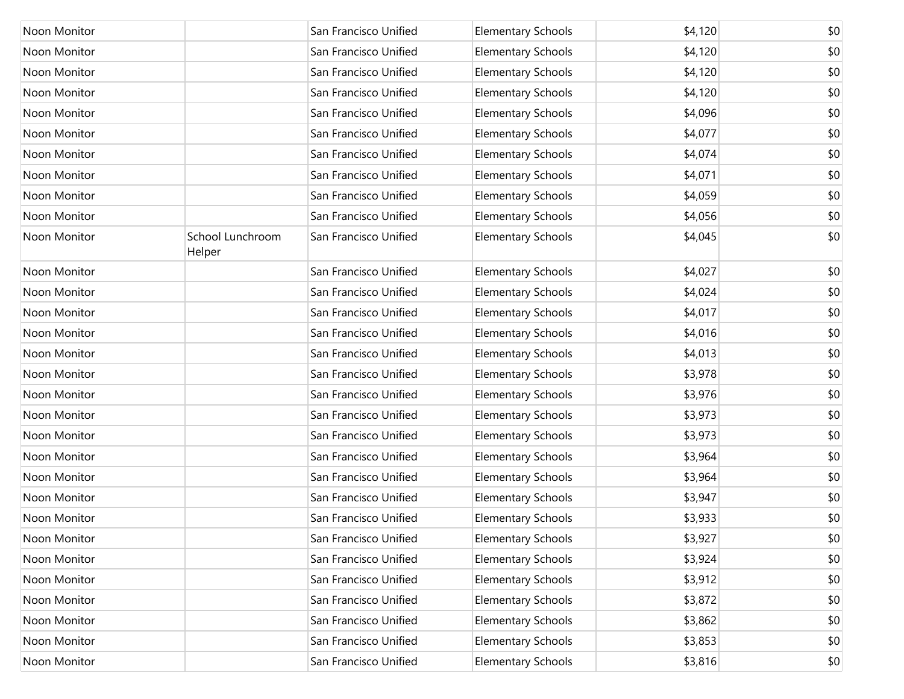| Noon Monitor |                            | San Francisco Unified | <b>Elementary Schools</b> | \$4,120 | \$0          |
|--------------|----------------------------|-----------------------|---------------------------|---------|--------------|
| Noon Monitor |                            | San Francisco Unified | <b>Elementary Schools</b> | \$4,120 | \$0          |
| Noon Monitor |                            | San Francisco Unified | <b>Elementary Schools</b> | \$4,120 | \$0          |
| Noon Monitor |                            | San Francisco Unified | <b>Elementary Schools</b> | \$4,120 | \$0          |
| Noon Monitor |                            | San Francisco Unified | <b>Elementary Schools</b> | \$4,096 | \$0          |
| Noon Monitor |                            | San Francisco Unified | <b>Elementary Schools</b> | \$4,077 | \$0          |
| Noon Monitor |                            | San Francisco Unified | <b>Elementary Schools</b> | \$4,074 | \$0          |
| Noon Monitor |                            | San Francisco Unified | <b>Elementary Schools</b> | \$4,071 | \$0          |
| Noon Monitor |                            | San Francisco Unified | <b>Elementary Schools</b> | \$4,059 | \$0          |
| Noon Monitor |                            | San Francisco Unified | <b>Elementary Schools</b> | \$4,056 | \$0          |
| Noon Monitor | School Lunchroom<br>Helper | San Francisco Unified | <b>Elementary Schools</b> | \$4,045 | \$0          |
| Noon Monitor |                            | San Francisco Unified | <b>Elementary Schools</b> | \$4,027 | \$0          |
| Noon Monitor |                            | San Francisco Unified | <b>Elementary Schools</b> | \$4,024 | \$0          |
| Noon Monitor |                            | San Francisco Unified | <b>Elementary Schools</b> | \$4,017 | \$0          |
| Noon Monitor |                            | San Francisco Unified | <b>Elementary Schools</b> | \$4,016 | \$0          |
| Noon Monitor |                            | San Francisco Unified | <b>Elementary Schools</b> | \$4,013 | \$0          |
| Noon Monitor |                            | San Francisco Unified | <b>Elementary Schools</b> | \$3,978 | \$0          |
| Noon Monitor |                            | San Francisco Unified | <b>Elementary Schools</b> | \$3,976 | \$0          |
| Noon Monitor |                            | San Francisco Unified | <b>Elementary Schools</b> | \$3,973 | \$0          |
| Noon Monitor |                            | San Francisco Unified | <b>Elementary Schools</b> | \$3,973 | \$0          |
| Noon Monitor |                            | San Francisco Unified | <b>Elementary Schools</b> | \$3,964 | \$0          |
| Noon Monitor |                            | San Francisco Unified | <b>Elementary Schools</b> | \$3,964 | \$0          |
| Noon Monitor |                            | San Francisco Unified | <b>Elementary Schools</b> | \$3,947 | \$0          |
| Noon Monitor |                            | San Francisco Unified | <b>Elementary Schools</b> | \$3,933 | \$0          |
| Noon Monitor |                            | San Francisco Unified | <b>Elementary Schools</b> | \$3,927 | $ 10\rangle$ |
| Noon Monitor |                            | San Francisco Unified | <b>Elementary Schools</b> | \$3,924 | \$0          |
| Noon Monitor |                            | San Francisco Unified | <b>Elementary Schools</b> | \$3,912 | \$0          |
| Noon Monitor |                            | San Francisco Unified | <b>Elementary Schools</b> | \$3,872 | \$0          |
| Noon Monitor |                            | San Francisco Unified | <b>Elementary Schools</b> | \$3,862 | \$0          |
| Noon Monitor |                            | San Francisco Unified | <b>Elementary Schools</b> | \$3,853 | \$0          |
| Noon Monitor |                            | San Francisco Unified | <b>Elementary Schools</b> | \$3,816 | \$0          |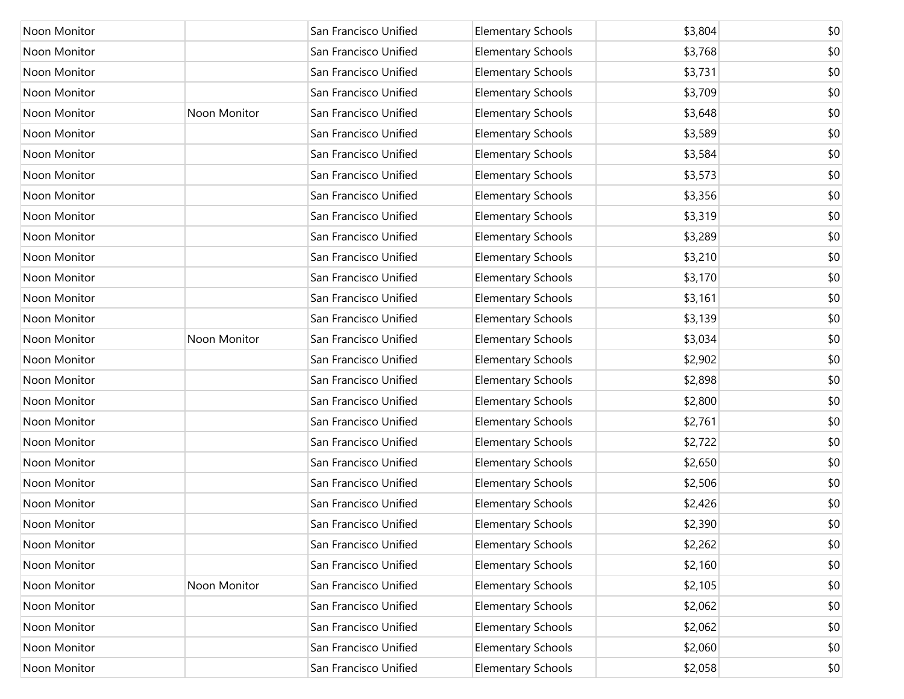| Noon Monitor |              | San Francisco Unified | <b>Elementary Schools</b> | \$3,804 | \$0 |
|--------------|--------------|-----------------------|---------------------------|---------|-----|
| Noon Monitor |              | San Francisco Unified | <b>Elementary Schools</b> | \$3,768 | \$0 |
| Noon Monitor |              | San Francisco Unified | <b>Elementary Schools</b> | \$3,731 | \$0 |
| Noon Monitor |              | San Francisco Unified | <b>Elementary Schools</b> | \$3,709 | \$0 |
| Noon Monitor | Noon Monitor | San Francisco Unified | Elementary Schools        | \$3,648 | \$0 |
| Noon Monitor |              | San Francisco Unified | <b>Elementary Schools</b> | \$3,589 | \$0 |
| Noon Monitor |              | San Francisco Unified | <b>Elementary Schools</b> | \$3,584 | \$0 |
| Noon Monitor |              | San Francisco Unified | <b>Elementary Schools</b> | \$3,573 | \$0 |
| Noon Monitor |              | San Francisco Unified | <b>Elementary Schools</b> | \$3,356 | \$0 |
| Noon Monitor |              | San Francisco Unified | <b>Elementary Schools</b> | \$3,319 | \$0 |
| Noon Monitor |              | San Francisco Unified | <b>Elementary Schools</b> | \$3,289 | \$0 |
| Noon Monitor |              | San Francisco Unified | <b>Elementary Schools</b> | \$3,210 | \$0 |
| Noon Monitor |              | San Francisco Unified | <b>Elementary Schools</b> | \$3,170 | \$0 |
| Noon Monitor |              | San Francisco Unified | <b>Elementary Schools</b> | \$3,161 | \$0 |
| Noon Monitor |              | San Francisco Unified | <b>Elementary Schools</b> | \$3,139 | \$0 |
| Noon Monitor | Noon Monitor | San Francisco Unified | <b>Elementary Schools</b> | \$3,034 | \$0 |
| Noon Monitor |              | San Francisco Unified | <b>Elementary Schools</b> | \$2,902 | \$0 |
| Noon Monitor |              | San Francisco Unified | <b>Elementary Schools</b> | \$2,898 | \$0 |
| Noon Monitor |              | San Francisco Unified | <b>Elementary Schools</b> | \$2,800 | \$0 |
| Noon Monitor |              | San Francisco Unified | <b>Elementary Schools</b> | \$2,761 | \$0 |
| Noon Monitor |              | San Francisco Unified | <b>Elementary Schools</b> | \$2,722 | \$0 |
| Noon Monitor |              | San Francisco Unified | <b>Elementary Schools</b> | \$2,650 | \$0 |
| Noon Monitor |              | San Francisco Unified | <b>Elementary Schools</b> | \$2,506 | \$0 |
| Noon Monitor |              | San Francisco Unified | <b>Elementary Schools</b> | \$2,426 | \$0 |
| Noon Monitor |              | San Francisco Unified | <b>Elementary Schools</b> | \$2,390 | \$0 |
| Noon Monitor |              | San Francisco Unified | <b>Elementary Schools</b> | \$2,262 | \$0 |
| Noon Monitor |              | San Francisco Unified | <b>Elementary Schools</b> | \$2,160 | \$0 |
| Noon Monitor | Noon Monitor | San Francisco Unified | <b>Elementary Schools</b> | \$2,105 | \$0 |
| Noon Monitor |              | San Francisco Unified | <b>Elementary Schools</b> | \$2,062 | \$0 |
| Noon Monitor |              | San Francisco Unified | <b>Elementary Schools</b> | \$2,062 | \$0 |
| Noon Monitor |              | San Francisco Unified | <b>Elementary Schools</b> | \$2,060 | \$0 |
| Noon Monitor |              | San Francisco Unified | <b>Elementary Schools</b> | \$2,058 | \$0 |